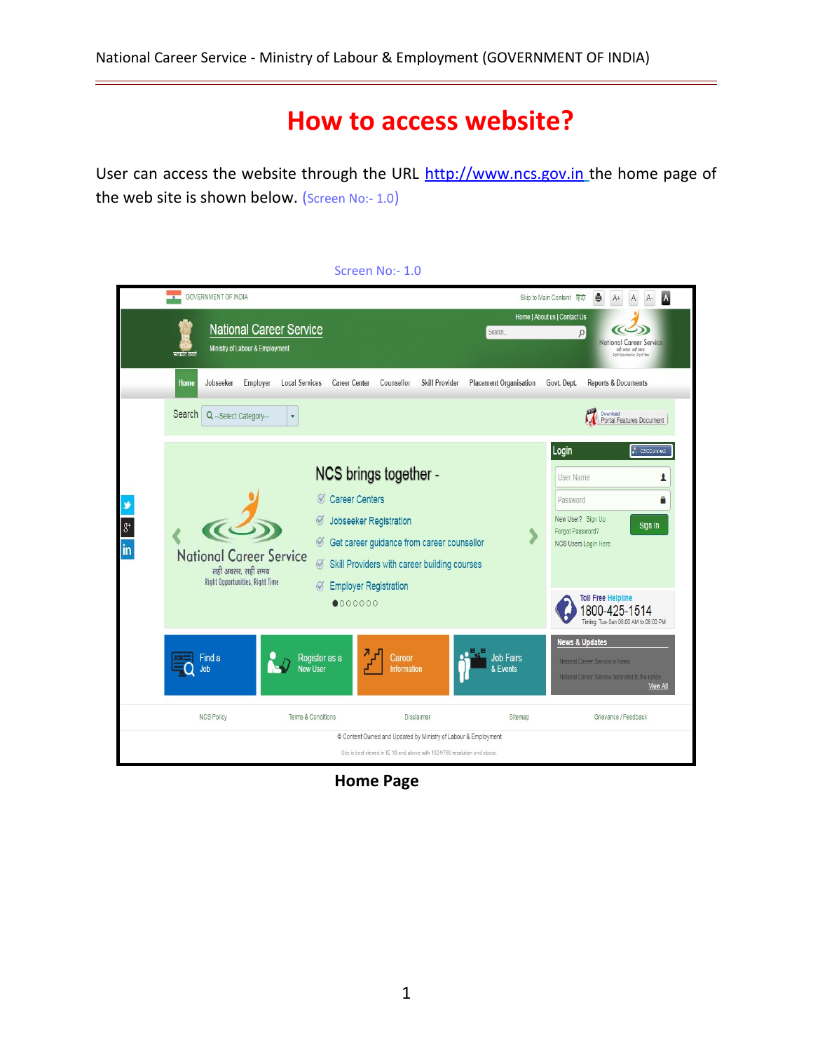## **How to access website?**

User can access the website through the URL http://www.ncs.gov.in the home page of the web site is shown below. (Screen No:- 1.0)



**Home Page**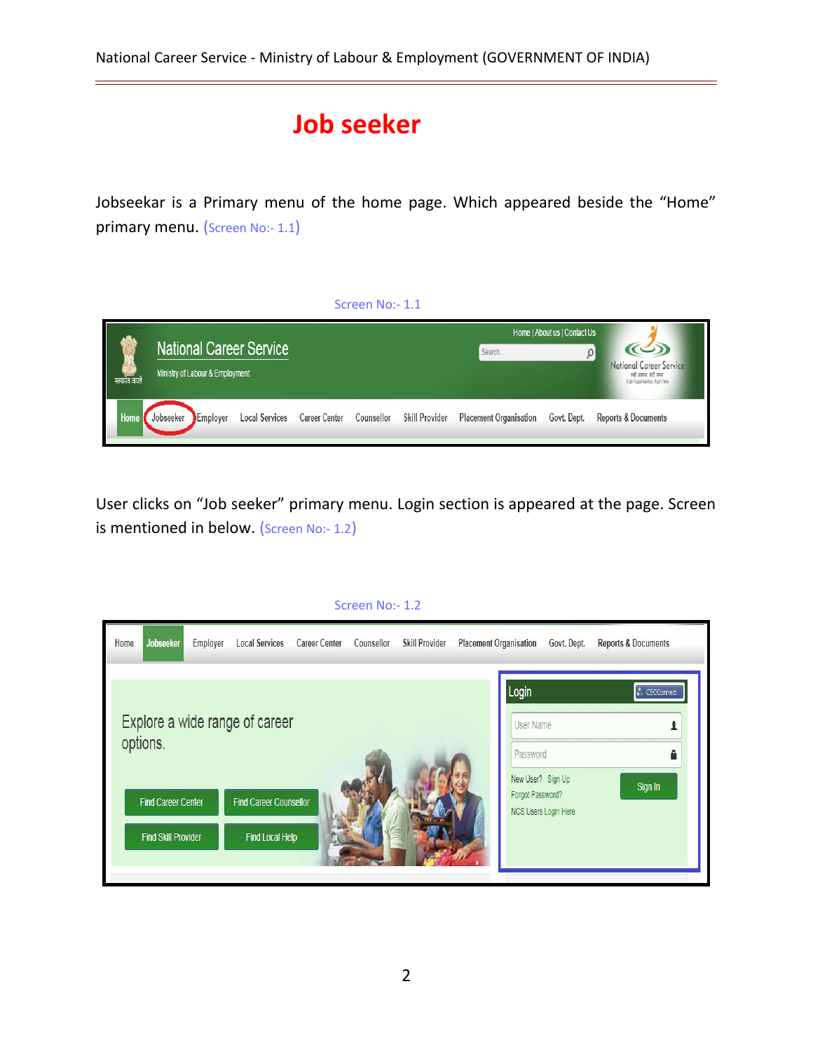## **Job seeker**

Jobseekar is a Primary menu of the home page. Which appeared beside the "Home" primary menu. (Screen No:- 1.1)



User clicks on "Job seeker" primary menu. Login section is appeared at the page. Screen is mentioned in below. (Screen No:- 1.2)

| Home | Jobseeker                                                           | <b>Employer</b> | <b>Local Services</b>                                                              | <b>Career Center</b> | Counsellor | <b>Skill Provider</b> | <b>Placement Organisation</b> | Govt. Dept.                                                                                     | <b>Reports &amp; Documents</b> |
|------|---------------------------------------------------------------------|-----------------|------------------------------------------------------------------------------------|----------------------|------------|-----------------------|-------------------------------|-------------------------------------------------------------------------------------------------|--------------------------------|
|      | options.<br><b>Find Career Center</b><br><b>Find Skill Provider</b> |                 | Explore a wide range of career<br><b>Find Career Counsellor</b><br>Find Local Help |                      |            |                       |                               | Login<br>User Name<br>Password<br>New User? Sign Up<br>Forgot Password?<br>NCS Users Login Here | CSCConnect<br>Sign In          |

## Screen No:- 1.2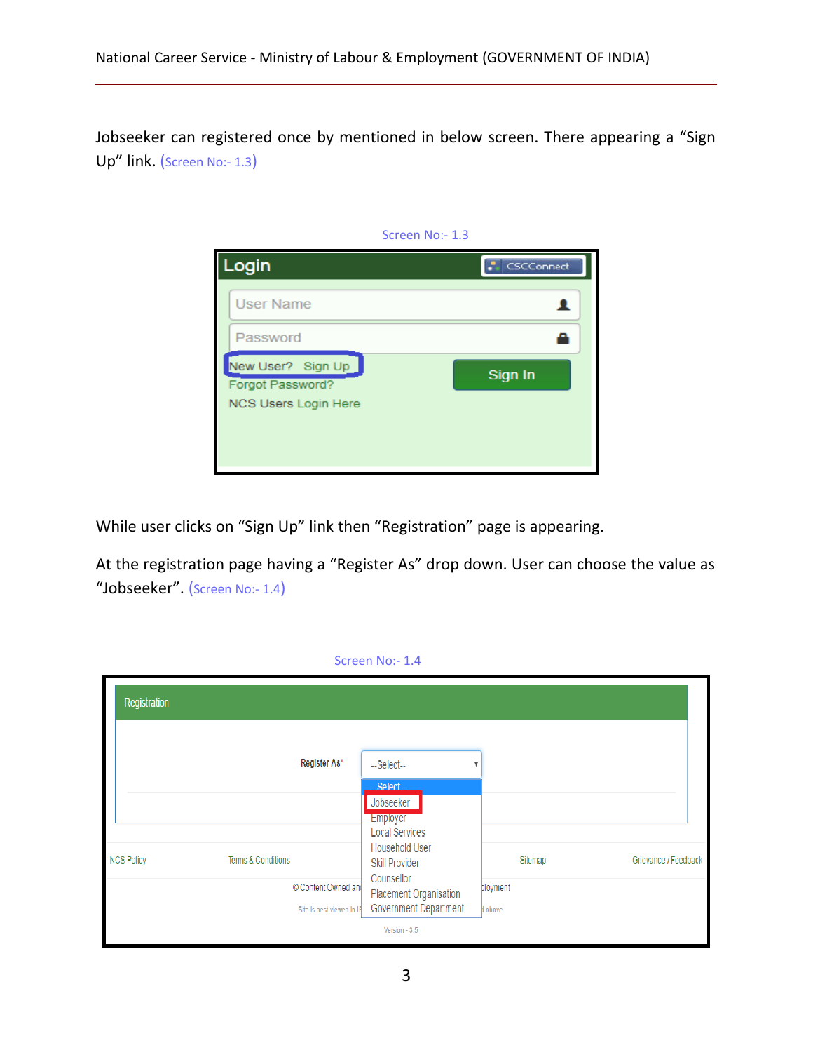Jobseeker can registered once by mentioned in below screen. There appearing a "Sign Up" link. (Screen No:- 1.3)



While user clicks on "Sign Up" link then "Registration" page is appearing.

At the registration page having a "Register As" drop down. User can choose the value as "Jobseeker". (Screen No:- 1.4)

| Screen No:- 1.4   |                                                  |                                                                                |                    |                      |  |
|-------------------|--------------------------------------------------|--------------------------------------------------------------------------------|--------------------|----------------------|--|
| Registration      |                                                  |                                                                                |                    |                      |  |
|                   | Register As*                                     | --Select--<br>-Select-<br>Jobseeker<br><b>Employer</b>                         | v                  |                      |  |
| <b>NCS Policy</b> | Terms & Conditions                               | <b>Local Services</b><br>Household User<br><b>Skill Provider</b><br>Counsellor | Sitemap            | Grievance / Feedback |  |
|                   | © Content Owned and<br>Site is best viewed in IB | Placement Organisation<br>Government Department<br>Version - 3.5               | bloyment<br>above. |                      |  |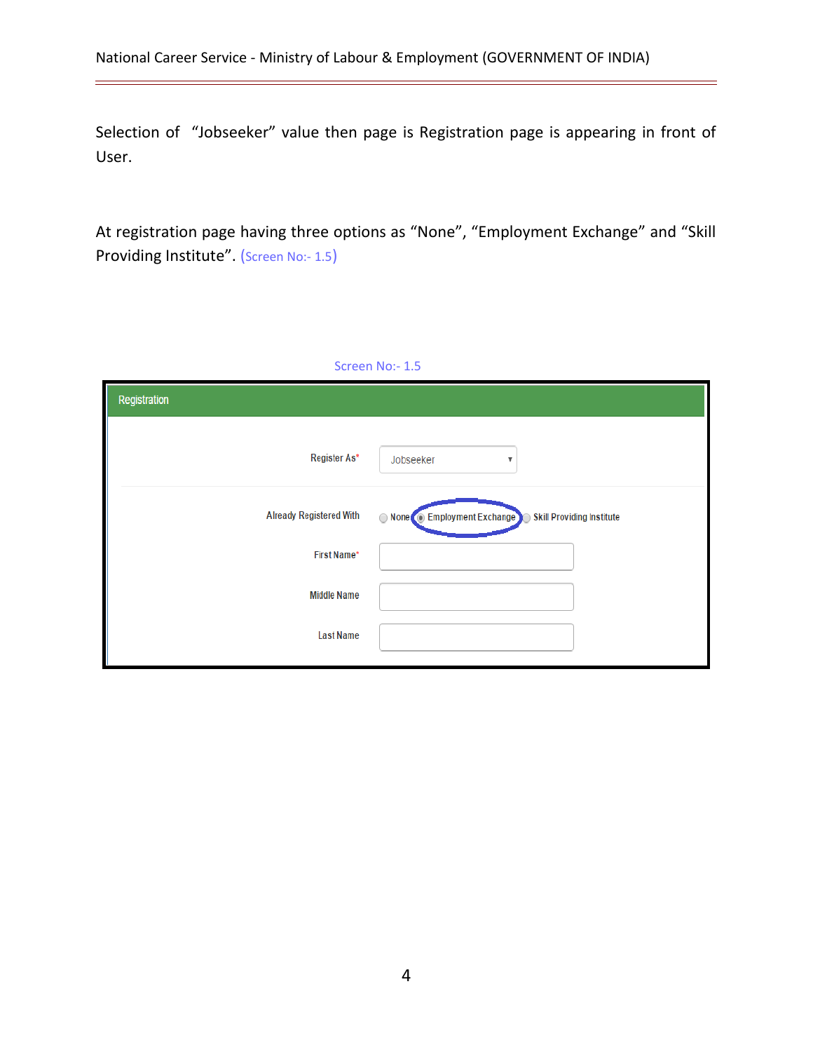Selection of "Jobseeker" value then page is Registration page is appearing in front of User.

At registration page having three options as "None", "Employment Exchange" and "Skill Providing Institute". (Screen No:- 1.5)

| Screen No:- 1.5                |                                                              |  |  |  |  |
|--------------------------------|--------------------------------------------------------------|--|--|--|--|
| Registration                   |                                                              |  |  |  |  |
| Register As*                   | Jobseeker<br>▼                                               |  |  |  |  |
| <b>Already Registered With</b> | None Employment Exchange<br><b>Skill Providing Institute</b> |  |  |  |  |
| First Name*                    |                                                              |  |  |  |  |
| <b>Middle Name</b>             |                                                              |  |  |  |  |
| <b>Last Name</b>               |                                                              |  |  |  |  |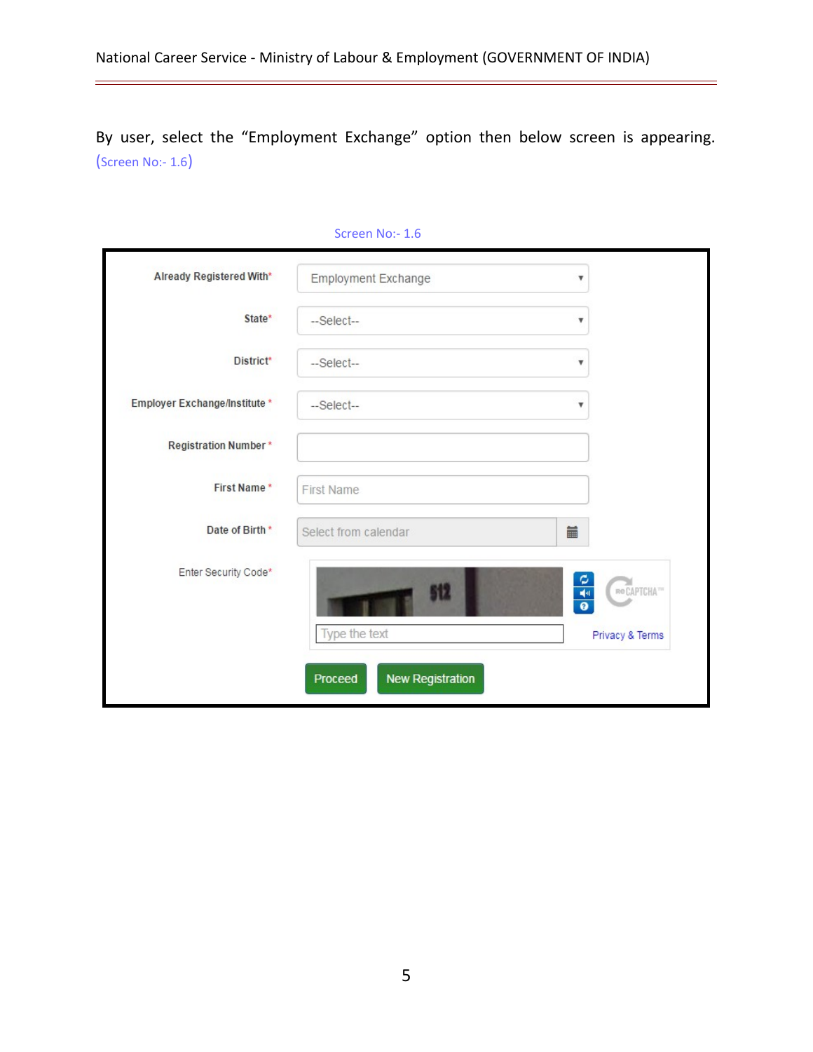By user, select the "Employment Exchange" option then below screen is appearing. (Screen No:- 1.6)

|                               | <b>PCLEELL MO:- T'D</b>            |                                                                           |  |
|-------------------------------|------------------------------------|---------------------------------------------------------------------------|--|
| Already Registered With*      | Employment Exchange                | $\boldsymbol{\mathrm{v}}$                                                 |  |
| State*                        | --Select--                         | ۷                                                                         |  |
| District*                     | --Select--                         | v                                                                         |  |
| Employer Exchange/Institute * | --Select--                         | v                                                                         |  |
| <b>Registration Number*</b>   |                                    |                                                                           |  |
| First Name*                   | <b>First Name</b>                  |                                                                           |  |
| Date of Birth *               | Select from calendar               | iii                                                                       |  |
| Enter Security Code*          | 512                                | $\tilde{\mathbf{c}}$<br>ReCAPTCHA <sup>TH</sup><br>$\frac{1}{\mathbf{0}}$ |  |
|                               | Type the text                      | Privacy & Terms                                                           |  |
|                               | <b>New Registration</b><br>Proceed |                                                                           |  |

## Screen No:- 1.6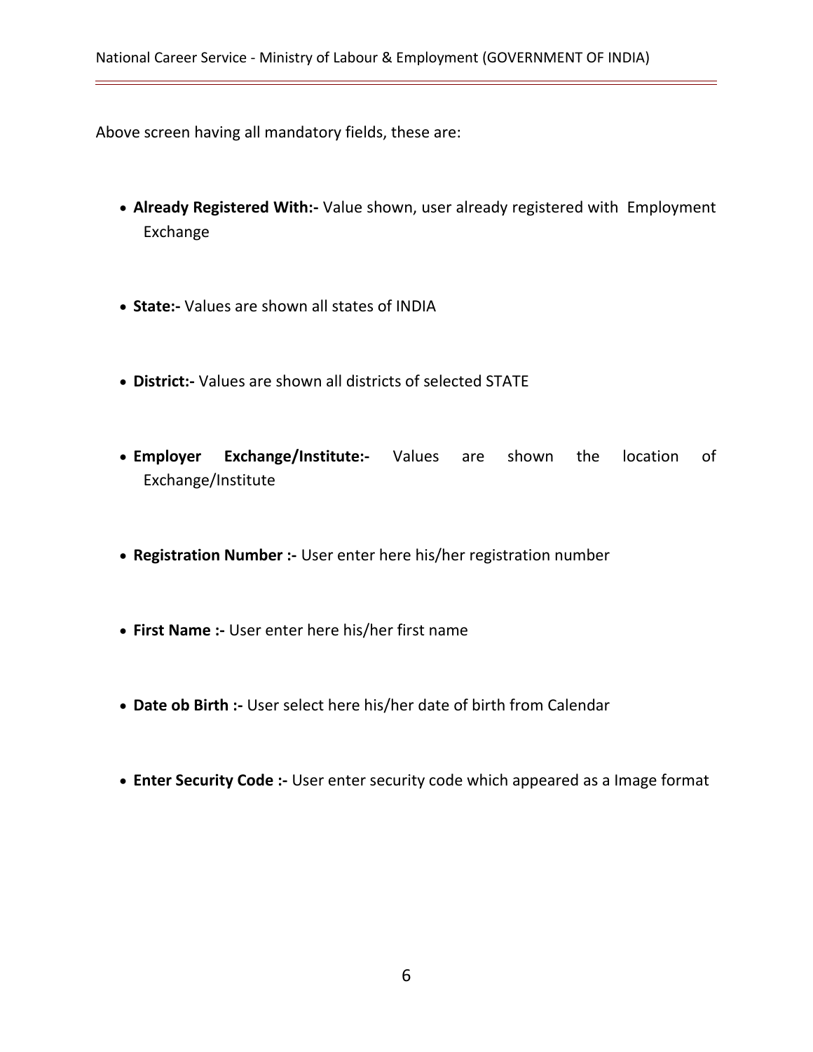Above screen having all mandatory fields, these are:

- **Already Registered With:-** Value shown, user already registered with Employment Exchange
- **State:-** Values are shown all states of INDIA
- **District:-** Values are shown all districts of selected STATE
- **Employer Exchange/Institute:-** Values are shown the location of Exchange/Institute
- **Registration Number :-** User enter here his/her registration number
- **First Name :-** User enter here his/her first name
- **Date ob Birth :-** User select here his/her date of birth from Calendar
- **Enter Security Code :-** User enter security code which appeared as a Image format